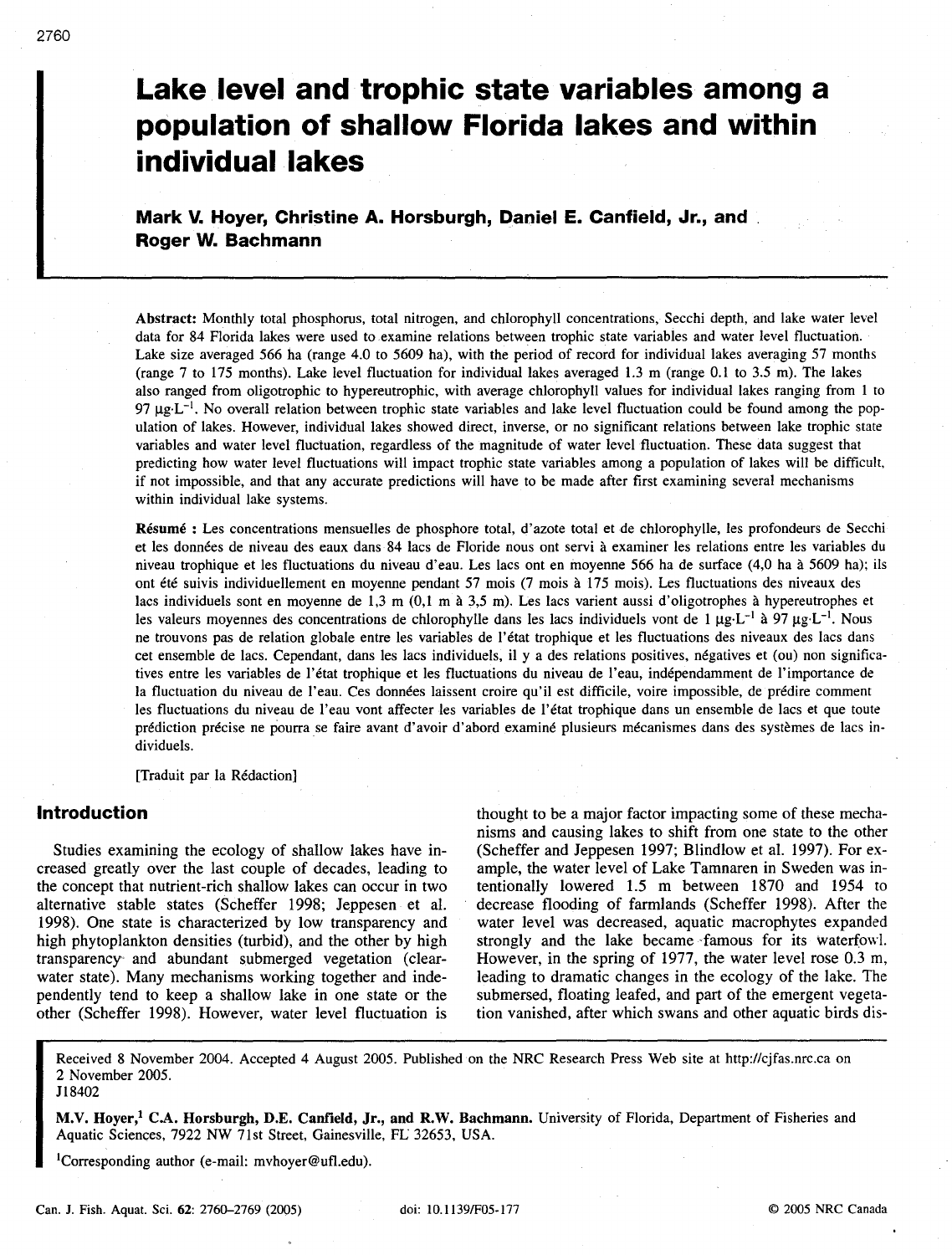# **Lake level and trophic state variables among a population of shallow Florida lakes and within individual lakes**

**Mark V. Hoyer, Christine A. Horsburgh, Daniel E. Canfield, Jr., and Roger W. Bachmann** 

Abstract: Monthly total phosphorus, total nitrogen, and chlorophyll concentrations, Secchi depth, and lake water level data for 84 Florida lakes were used to examine relations between trophic state variables and water level fluctuation. Lake size averaged 566 ha (range 4.0 to 5609 ha), with the period of record for individual lakes averaging 57 months (range 7 to 175 months). Lake level fluctuation for individual lakes averaged 1.3 m (range 0.1 to 3.5 m). The lakes also ranged from oligotrophic to hypereutrophic, with average chlorophyll values for individual lakes ranging from 1 to 97  $\mu$ g·L<sup>-1</sup>. No overall relation between trophic state variables and lake level fluctuation could be found among the population of lakes. However, individual lakes showed direct, inverse, or no significant relations between lake trophic state variables and water level fluctuation, regardless of the magnitude of water level fluctuation. These data suggest that predicting how water level fluctuations will impact trophic state variables among a population of lakes will be difficult, if not impossible, and that any accurate predictions will have to be made after first examining several mechanisms within individual lake systems.

Résumé : Les concentrations mensuelles de phosphore total, d'azote total et de chlorophylle, les profondeurs de Secchi et les donnees de niveau des eaux dans 84 lacs de Floride nous ont servi a examiner les relations entre les variables du niveau trophique et les fluctuations du niveau d'eau. Les lacs ont en moyenne 566 ha de surface (4,0 ha à 5609 ha); ils ont été suivis individuellement en moyenne pendant 57 mois (7 mois à 175 mois). Les fluctuations des niveaux des lacs individuels sont en moyenne de 1,3 m (0,1 m à 3,5 m). Les lacs varient aussi d'oligotrophes à hypereutrophes et les valeurs moyennes des concentrations de chlorophylle dans les lacs individuels vont de 1  $\mu g \cdot L^{-1}$  à 97  $\mu g \cdot L^{-1}$ . Nous ne trouvons pas de relation globale entre les variables de l'etat trophique et les fluctuations des niveaux des lacs dans cet ensemble de lacs. Cependant, dans les lacs individuels, il y a des relations positives, negatives et (ou) non significatives entre les variables de l'etat trophique et les fluctuations du niveau de l'eau, independamment de !'importance de la fluctuation du niveau de l'eau. Ces données laissent croire qu'il est difficile, voire impossible, de prédire comment les fluctuations du niveau de l'eau vont affecter les variables de l'etat trophique dans un ensemble de lacs et que toute prediction precise ne pourra se faire avant d'avoir d'abord examine plusieurs mecanismes dans des systemes de lacs individuels.

[Traduit par Ia Redaction]

Studies examining the ecology of shallow lakes have increased greatly over the last couple of decades, leading to the concept that nutrient-rich shallow lakes can occur in two alternative stable states (Scheffer 1998; Jeppesen et al. 1998). One state is characterized by low transparency and high phytoplankton densities (turbid), and the other by high transparency· and abundant submerged vegetation (clearwater state). Many mechanisms working together and independently tend to keep a shallow lake in one state or the other (Scheffer 1998). However, water level fluctuation is

**Introduction thought to be a major factor impacting some of these mecha**nisms and causing lakes to shift from one state to the other (Scheffer and Jeppesen 1997; Blindlow et al. 1997). For example, the water level of Lake Tamnaren in Sweden was intentionally lowered 1.5 m between 1870 and 1954 to decrease flooding of farmlands (Scheffer 1998). After the water level was decreased, aquatic macrophytes expanded strongly and the lake became ·famous for its Waterfowl. However, in the spring of 1977, the water level rose 0.3 m, leading to dramatic changes in the ecology of the lake. The submersed, floating leafed, and part of the emergent vegetation vanished, after which swans and other aquatic birds dis-

Received 8 November 2004. Accepted 4 August 2005. Published on the NRC Research Press Web site at http://cjfas.nrc.ca on 2 November 2005. Jl8402

M.V. Hoyer,<sup>1</sup> C.A. Horsburgh, D.E. Canfield, Jr., and R.W. Bachmann. University of Florida, Department of Fisheries and Aquatic Sciences, 7922 NW 71st Street, Gainesville, FL 32653, USA.

<sup>1</sup>Corresponding author (e-mail: mvhoyer@ufl.edu).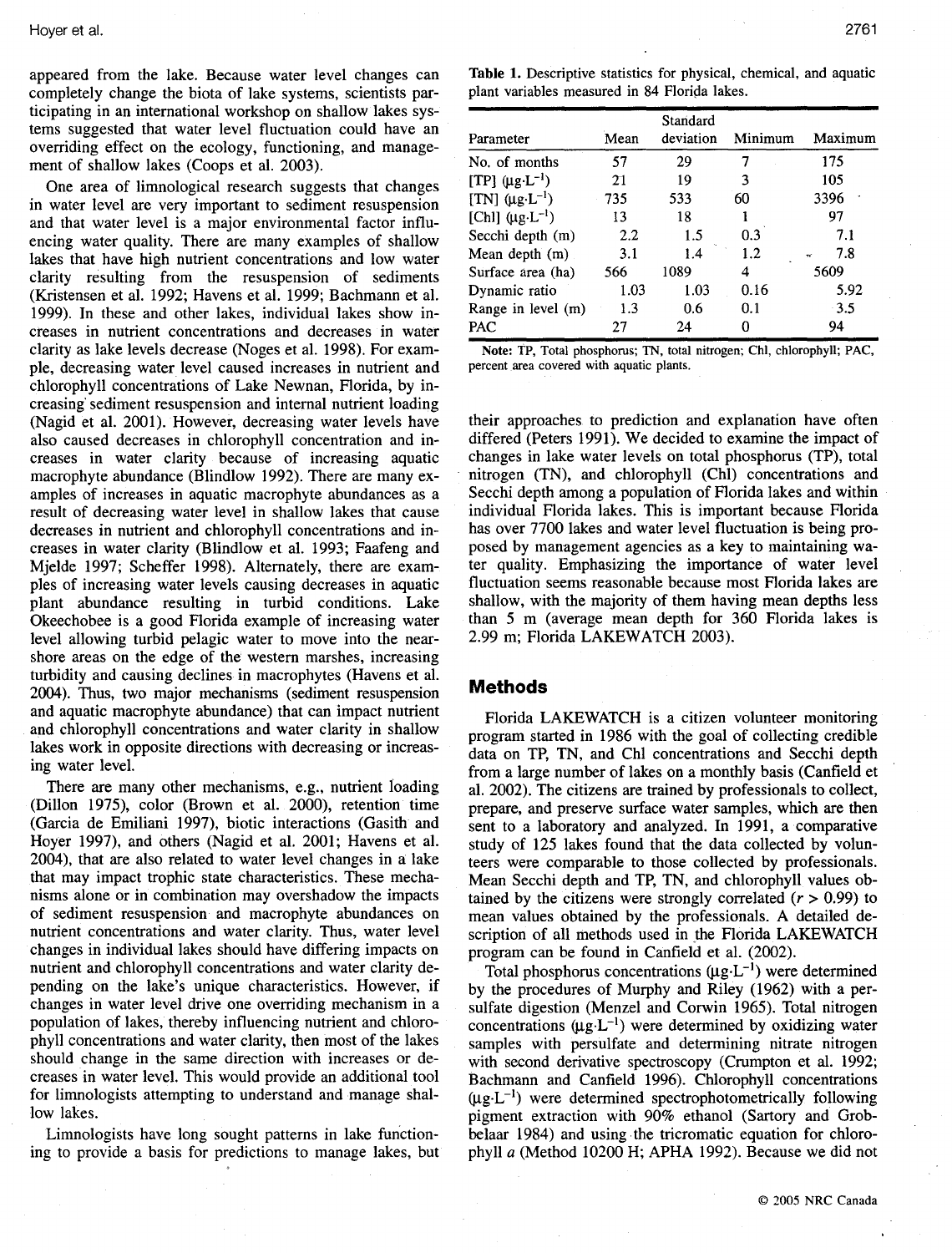appeared from the lake. Because water level changes can completely change the biota of lake systems, scientists participating in an international workshop on shallow lakes systems suggested that water level fluctuation could have an overriding effect on the ecology, functioning, and management of shallow lakes (Coops et al. 2003).

One area of limnological research suggests that changes in water level are very important to sediment resuspension and that water level is a major environmental factor influencing water quality. There are many examples of shallow lakes that have high nutrient concentrations and low water clarity resulting from the resuspension of sediments (Kristensen et al. 1992; Havens et al. 1999; Bachmann et al. 1999). In these and other lakes, individual lakes show increases in nutrient concentrations and decreases in water clarity as lake levels decrease (Noges et al. 1998). For example, decreasing water level caused increases in nutrient and chlorophyll concentrations of Lake Newnan, Florida, by increasing sediment resuspension and internal nutrient loading (Nagid et al. 2001). However, decreasing water levels have also caused decreases in chlorophyll concentration and increases in water clarity because of increasing aquatic macrophyte abundance (Blindlow 1992). There are many examples of increases in aquatic macrophyte abundances as a result of decreasing water level in shallow lakes that cause decreases in nutrient and chlorophyll concentrations and increases in water clarity (Blindlow et al. 1993; Faafeng and Mjelde 1997; Scheffer 1998). Alternately, there are examples of increasing water levels causing decreases in aquatic plant abundance resulting in turbid conditions. Lake Okeechobee is a good Florida example of increasing water level allowing turbid pelagic water to move into the nearshore areas on the edge of the western marshes, increasing turbidity and causing declines in macrophytes (Havens et al. 2004). Thus, two major mechanisms (sediment resuspension and aquatic macrophyte abundance) that can impact nutrient and chlorophyll concentrations and water clarity in shallow lakes work in opposite directions with decreasing or increasing water level.

There are many other mechanisms, e.g., nutrient loading (Dillon 1975), color (Brown et al. 2000), retention time (Garcia de Emiliani 1997), biotic interactions (Gasith and Hoyer 1997), and others (Nagid et al. 2001; Havens et al. 2004), that are also related to water level changes in a lake that may impact trophic state characteristics. These mechanisms alone or in combination may overshadow the impacts of sediment resuspension and macrophyte abundances on nutrient concentrations and water clarity. Thus, water level changes in individual lakes should have differing impacts on nutrient and chlorophyll concentrations and water clarity depending on the lake's unique characteristics. However, if changes in water level drive one overriding mechanism in a population of lakes, thereby influencing nutrient and chlorophyll concentrations and water clarity, then most of the lakes should change in the same direction with increases or decreases in water level. This would provide an additional tool for limnologists attempting to understand and manage shallow lakes.

Limnologists have long sought patterns in lake functioning to provide a basis for predictions to manage lakes, but 2761

Table 1. Descriptive statistics for physical, chemical, and aquatic plant variables measured in 84 Florida lakes.

| Parameter                    | Mean | Standard<br>deviation | Minimum | Maximum    |
|------------------------------|------|-----------------------|---------|------------|
| No. of months                | 57   | 29                    | 7       | 175        |
| [TP] (μg·L <sup>-1</sup> )   | 21   | 19                    | 3       | 105        |
| [TN] $(\mu g \cdot L^{-1})$  | 735  | 533                   | 60      | 3396       |
| [Chl] $(\mu g \cdot L^{-1})$ | 13   | 18                    |         | 97         |
| Secchi depth (m)             | 2.2  | 1.5                   | 0.3     | 7.1        |
| Mean depth $(m)$             | 3.1  | 1.4                   | 1.2     | 7.8<br>÷c. |
| Surface area (ha)            | 566  | 1089                  | 4       | 5609       |
| Dynamic ratio                | 1.03 | 1.03                  | 0.16    | 5.92       |
| Range in level (m)           | 1.3  | 0.6                   | 0.1     | $-3.5$     |
| PAC                          | フフ   | 24                    | 0       | 94         |

Note: TP, Total phosphorus; TN, total nitrogen; Chi, chlorophyll; PAC, percent area covered with aquatic plants.

their approaches to prediction and explanation have often differed (Peters 1991). We decided to examine the impact of changes in lake water levels on total phosphorus (TP), total nitrogen (TN), and chlorophyll (Chl) concentrations and Secchi depth among a population of Florida lakes and within individual Florida lakes. This is important because Florida has over 7700 lakes and water level fluctuation is being proposed by management agencies as a key to maintaining water quality. Emphasizing the importance of water level fluctuation seems reasonable because most Florida lakes are shallow, with the majority of them having mean depths less than 5 m (average mean depth for 360 Florida lakes is 2.99 m; Florida LAKEWATCH 2003).

# **Methods**

Florida LAKEWATCH is a citizen volunteer monitoring program started in 1986 with the goal of collecting credible data on TP, TN, and Chi concentrations and Secchi depth from a large number of lakes on a monthly basis (Canfield et al. 2002). The citizens are trained by professionals to collect, prepare, and preserve surface water samples, which are then sent to a laboratory and analyzed. In 1991, a comparative study of 125 lakes found that the data collected by volunteers were comparable to those collected by professionals. Mean Secchi depth and TP, TN, and chlorophyll values obtained by the citizens were strongly correlated  $(r > 0.99)$  to mean values obtained by the professionals. A detailed description of all methods used in the Florida LAKEWATCH program can be found in Canfield et al. (2002).

Total phosphorus concentrations  $(\mu g \cdot L^{-1})$  were determined by the procedures of Murphy and Riley (1962) with a persulfate digestion (Menzel and Corwin 1965). Total nitrogen concentrations ( $\mu g \cdot L^{-1}$ ) were determined by oxidizing water samples with persulfate and determining nitrate nitrogen with second derivative spectroscopy (Crumpton et al. 1992; Bachmann and Canfield 1996). Chlorophyll concentrations  $(\mu g \cdot L^{-1})$  were determined spectrophotometrically following pigment extraction with 90% ethanol (Sartory and Grobbelaar 1984) and using the tricromatic equation for chlorophyll a (Method 10200 H; APHA 1992). Because we did not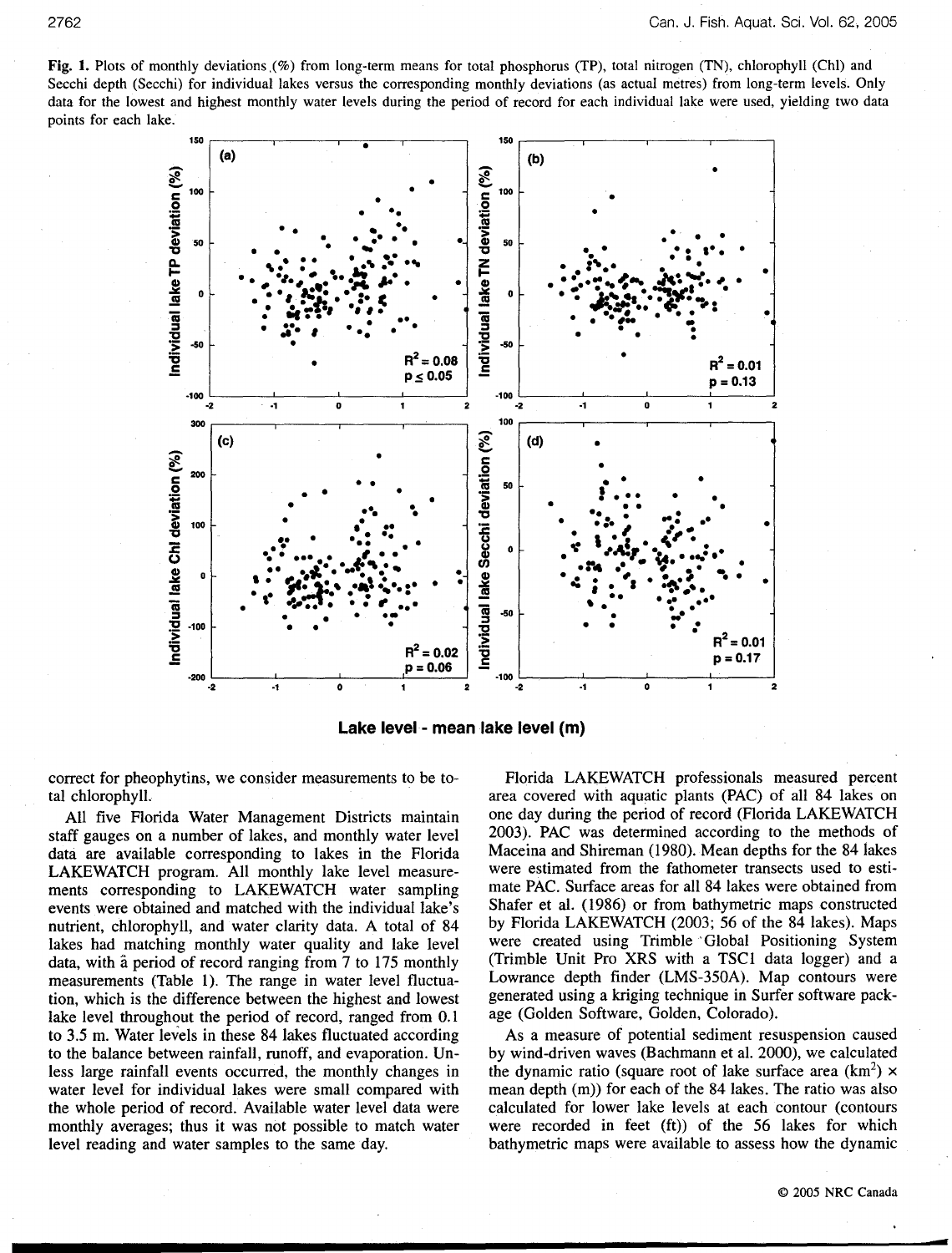Fig. 1. Plots of monthly deviations (%) from long-term means for total phosphorus (TP), total nitrogen (TN), chlorophyll (Chl) and Secchi depth (Secchi) for individual lakes versus the corresponding monthly deviations (as actual metres) from long-term levels. Only data for the lowest and highest monthly water levels during the period of record for each individual lake were used, yielding two data points for each lake.



**Lake level - mean lake level (m)** 

correct for pheophytins, we consider measurements to be total chlorophyll.

All five Florida Water Management Districts maintain staff gauges on a number of lakes, and monthly water level data are available corresponding to lakes in the Florida LAKEWATCH program. All monthly lake level measurements corresponding to LAKEWATCH water sampling events were obtained and matched with the individual lake's nutrient, chlorophyll, and water clarity data. A total of 84 lakes had matching monthly water quality and lake level data, with a period of record ranging from 7 to 175 monthly measurements (Table 1). The range in water level fluctuation, which is the difference between the highest and lowest lake level throughout the period of record, ranged from 0.1 to 3.5 m. Water levels in these 84 lakes fluctuated according to the balance between rainfall, runoff, and evaporation. Unless large rainfall events occurred, the monthly changes in water level for individual lakes were small compared with the whole period of record. Available water level data were monthly averages; thus it was not possible to match water level reading and water samples to the same day.

Florida LAKEWATCH professionals measured percent area covered with aquatic plants (PAC) of all 84 lakes on one day during the period of record (Florida LAKEWATCH 2003). PAC was determined according to the methods of Maceina and Shireman (1980). Mean depths for the 84 lakes were estimated from the fathometer transects used to estimate PAC. Surface areas for all 84 lakes were obtained from Shafer et al. ( 1986) or from bathymetric maps constructed by Florida LAKEWATCH (2003; 56 of the 84 lakes). Maps were created using Trimble Global Positioning System (Trimble Unit Pro XRS with a TSCI data logger) and a Lowrance depth finder (LMS-350A). Map contours were generated using a kriging technique in Surfer software package (Golden Software, Golden, Colorado).

As a measure of potential sediment resuspension caused by wind-driven waves (Bachmann et al. 2000), we calculated the dynamic ratio (square root of lake surface area  $(km^2) \times$ mean depth (m)) for each of the 84 lakes. The ratio was also calculated for lower lake levels at each contour (contours were recorded in feet (ft)) of the 56 lakes for which bathymetric maps were available to assess how the dynamic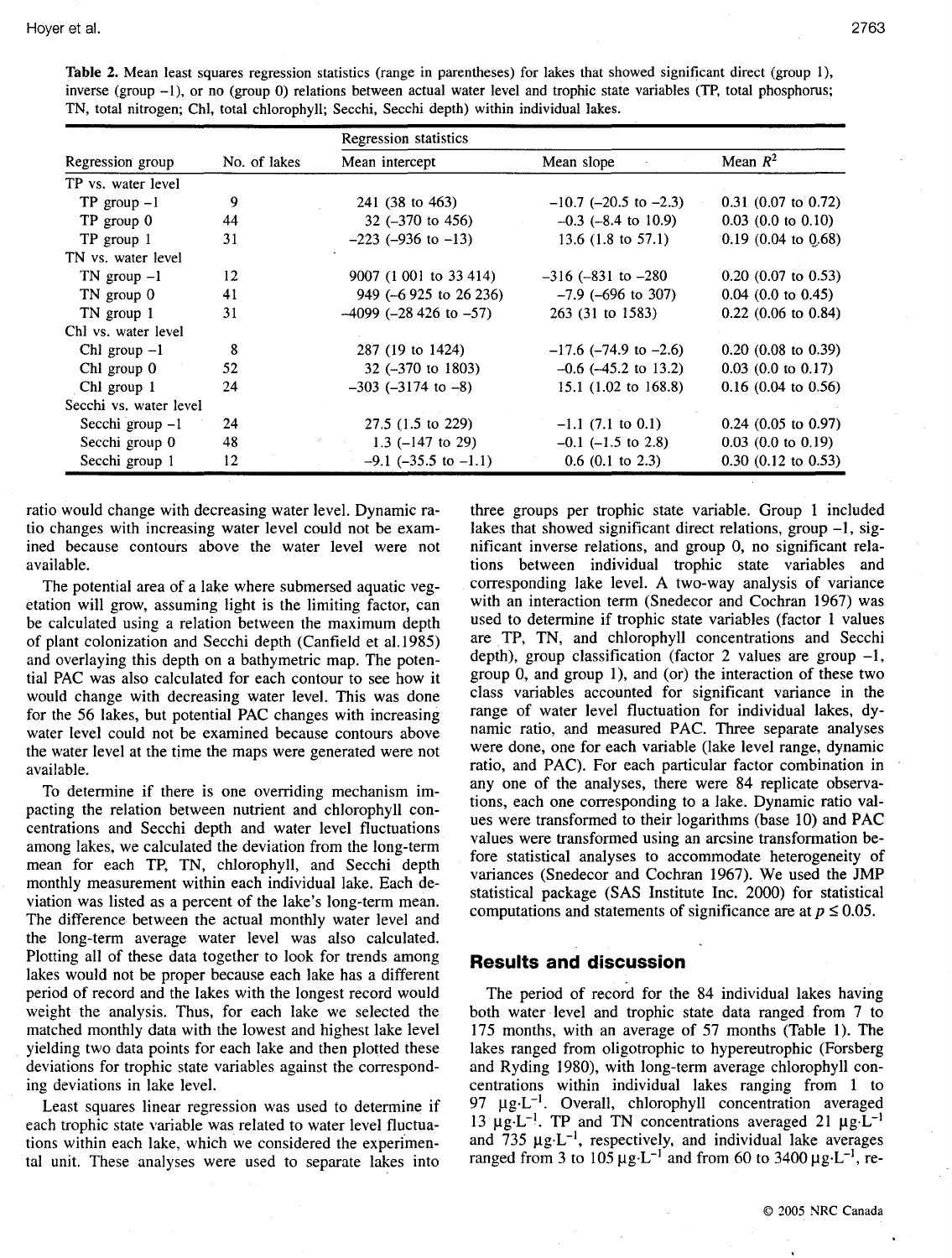| TN, total nitrogen; Chl, total chlorophyll; Secchi, Secchi depth) within individual lakes. |              |                              |                                 |                       |  |  |  |
|--------------------------------------------------------------------------------------------|--------------|------------------------------|---------------------------------|-----------------------|--|--|--|
|                                                                                            |              | Regression statistics        |                                 |                       |  |  |  |
| Regression group                                                                           | No. of lakes | Mean intercept               | Mean slope                      | Mean $R^2$            |  |  |  |
| TP vs. water level                                                                         |              |                              |                                 |                       |  |  |  |
| $TP$ group $-1$                                                                            | 9            | 241 (38 to 463)              | $-10.7$ (-20.5 to -2.3)         | $0.31$ (0.07 to 0.72) |  |  |  |
| $TP$ group $0$                                                                             | 44           | $32 (-370 \text{ to } 456)$  | $-0.3$ ( $-8.4$ to 10.9)        | $0.03$ (0.0 to 0.10)  |  |  |  |
| $TP$ group 1                                                                               | 31           | $-223$ ( $-936$ to $-13$ )   | 13.6 $(1.8 \text{ to } 57.1)$   | $0.19$ (0.04 to 0.68) |  |  |  |
| TN vs. water level                                                                         |              |                              |                                 |                       |  |  |  |
| $TN$ group $-1$                                                                            | 12           | 9007 (1 001 to 33 414)       | $-316$ ( $-831$ to $-280$ )     | $0.20$ (0.07 to 0.53) |  |  |  |
| $TN$ group $0$                                                                             | 41           | 949 ( $-6$ 925 to 26 236)    | $-7.9$ ( $-696$ to 307)         | $0.04$ (0.0 to 0.45)  |  |  |  |
| TN group 1                                                                                 | 31           | $-4099$ (-28 426 to -57)     | 263 (31 to 1583)                | $0.22$ (0.06 to 0.84) |  |  |  |
| Chl vs. water level                                                                        |              |                              |                                 |                       |  |  |  |
| Chl group $-1$                                                                             | 8            | 287 (19 to 1424)             | $-17.6$ ( $-74.9$ to $-2.6$ )   | $0.20$ (0.08 to 0.39) |  |  |  |
| $Chl$ group $0$                                                                            | 52           | $32$ (-370 to 1803)          | $-0.6$ ( $-45.2$ to 13.2)       | $0.03$ (0.0 to 0.17)  |  |  |  |
| Chl group 1                                                                                | 24           | $-303$ $(-3174$ to $-8$ )    | 15.1 $(1.02 \text{ to } 168.8)$ | $0.16$ (0.04 to 0.56) |  |  |  |
| Secchi vs. water level                                                                     |              |                              |                                 |                       |  |  |  |
| Secchi group $-1$                                                                          | 24           | $27.5$ (1.5 to 229)          | $-1.1$ (7.1 to 0.1)             | $0.24$ (0.05 to 0.97) |  |  |  |
| Secchi group 0                                                                             | 48           | 1.3 $(-147 \text{ to } 29)$  | $-0.1$ ( $-1.5$ to 2.8)         | $0.03$ (0.0 to 0.19)  |  |  |  |
| Secchi group 1                                                                             | 12           | $-9.1$ ( $-35.5$ to $-1.1$ ) | $0.6$ (0.1 to 2.3)              | $0.30$ (0.12 to 0.53) |  |  |  |

Table 2. Mean least squares regression statistics (range in parentheses) for lakes that showed significant direct (group 1), inverse (group -1), or no (group 0) relations between actual water level and trophic state variables (TP, total phosphorus; TN, total nitrogen; Chi, total chlorophyll; Secchi, Secchi depth) within individual lakes.

ratio would change with decreasing water level. Dynamic ratio changes with increasing water level could not be examined because contours above the water level were not available.

The potential area of a lake where submersed aquatic vegetation will grow, assuming light is the limiting factor, can be calculated using a relation between the maximum depth of plant colonization and Secchi depth (Canfield et al.1985) and overlaying this depth on a bathymetric map. The potential PAC was also calculated for each contour to see how it would change with decreasing water level. This was done for the 56 lakes, but potential PAC changes with increasing water level could not be examined because contours above the water level at the time the maps were generated were not available.

To determine if there is one overriding mechanism impacting the relation between nutrient and chlorophyll concentrations and Secchi depth and water level fluctuations among lakes, we calculated the deviation from the long-term mean for each TP, TN, chlorophyll, and Secchi depth monthly measurement within each individual lake. Each deviation was listed as a percent of the lake's long-term mean. The difference between the actual monthly water level and the long-term average water level was also calculated. Plotting all of these data together to look for trends among lakes would not be proper because each lake has a different period of record and the lakes with the longest record would weight the analysis. Thus, for each lake we selected the matched monthly data with the lowest and highest lake level yielding two data points for each lake and then plotted these deviations for trophic state variables against the corresponding deviations in lake level.

Least squares linear regression was used to determine if each trophic state variable was related to water level fluctuations within each lake, which we considered the experimental unit. These analyses were used to separate lakes into

three groups per trophic state variable. Group 1 included lakes that showed significant direct relations, group  $-1$ , significant inverse relations, and group 0, no significant relations between individual trophic state variables and corresponding lake level. A two-way analysis of variance with an interaction term (Snedecor and Cochran 1967) was used to determine if trophic state variables (factor 1 values are TP, TN, and chlorophyll concentrations and Secchi depth), group classification (factor 2 values are group  $-1$ , group 0, and group 1), and (or) the interaction of these two class variables accounted for significant variance in the range of water level fluctuation for individual lakes, dynamic ratio, and measured PAC. Three separate analyses were done, one for each variable (lake level range, dynamic ratio, and PAC). For each particular factor combination in any one of the analyses, there were 84 replicate observations, each one corresponding to a lake. Dynamic ratio values were transformed to their logarithms (base 10) and PAC values were transformed using an arcsine transformation before statistical analyses to accommodate heterogeneity of variances (Snedecor and Cochran 1967). We used the JMP statistical package (SAS Institute Inc. 2000) for statistical computations and statements of significance are at  $p \le 0.05$ .

#### **Results and discussion**

The period of record for the 84 individual lakes having both water level and trophic state data ranged from 7 to 175 months, with an average of 57 months (Table 1). The lakes ranged from oligotrophic to hypereutrophic (Forsberg and Ryding 1980), with long-term average chlorophyll concentrations within individual lakes ranging from 1 to 97  $\mu$ g·L<sup>-1</sup>. Overall, chlorophyll concentration averaged 13  $\mu$ g·L<sup>-1</sup>. TP and TN concentrations averaged 21  $\mu$ g·L<sup>-1</sup> and  $735 \mu g \cdot L^{-1}$ , respectively, and individual lake averages ranged from 3 to  $105 \mu g \text{·L}^{-1}$  and from 60 to 3400  $\mu g \text{·L}^{-1}$ , re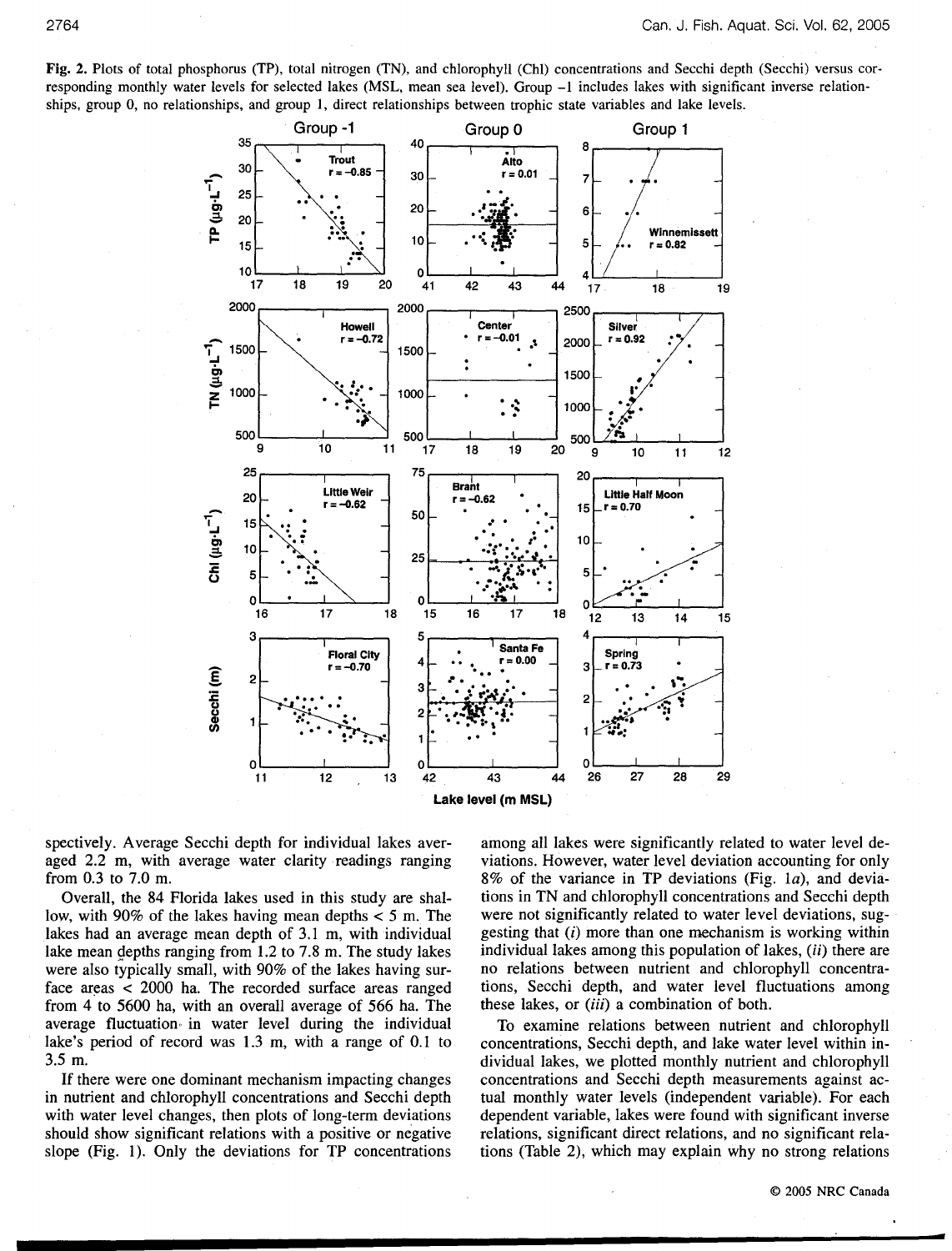Fig. 2. Plots of total phosphorus (TP), total nitrogen (TN), and chlorophyll (Chi) concentrations and Secchi depth (Secchi) versus corresponding monthly water levels for selected lakes (MSL, mean sea level). Group -1 includes lakes with significant inverse relationships, group 0, no relationships, and group 1, direct relationships between trophic state variables and lake levels.



spectively. Average Secchi depth for individual lakes averaged 2.2 m, with average water clarity readings ranging from 0.3 to 7.0 m.

Overall, the 84 Florida lakes used in this study are shallow, with 90% of the lakes having mean depths < 5 m. The lakes had an average mean depth of 3.1 m, with individual lake mean depths ranging from 1.2 to 7.8 m. The study lakes were also typically small, with 90% of the lakes having surface areas  $\lt$  2000 ha. The recorded surface areas ranged from 4 to 5600 ha, with an overall average of 566 ha. The average fluctuation, in water level during the individual lake's period of record was 1.3 m, with a range of 0.1 to 3.5 m.

If there were one dominant mechanism impacting changes in nutrient and chlorophyll concentrations and Secchi depth with water level changes, then plots of long-term deviations should show significant relations with a positive or negative slope (Fig. 1). Only the deviations for TP concentrations

among all lakes were significantly related to water level deviations. However, water level deviation accounting for only 8% of the variance in TP deviations (Fig. la), and deviations in TN and chlorophyll concentrations and Secchi depth were not significantly related to water level deviations, suggesting that (i) more than one mechanism is working within individual lakes among this population of lakes,  $(ii)$  there are no relations between nutrient and chlorophyll concentrations, Secchi depth, and water level fluctuations among these lakes, or *(iii)* a combination of both.

To examine relations between nutrient and chlorophyll concentrations, Secchi depth, and lake water level within individual lakes, we plotted monthly nutrient and chlorophyll concentrations and Secchi depth measurements against actual monthly water levels (independent variable). For each dependent variable, lakes were found with significant inverse relations, significant direct relations, and no significant relations (Table 2), which may explain why no strong relations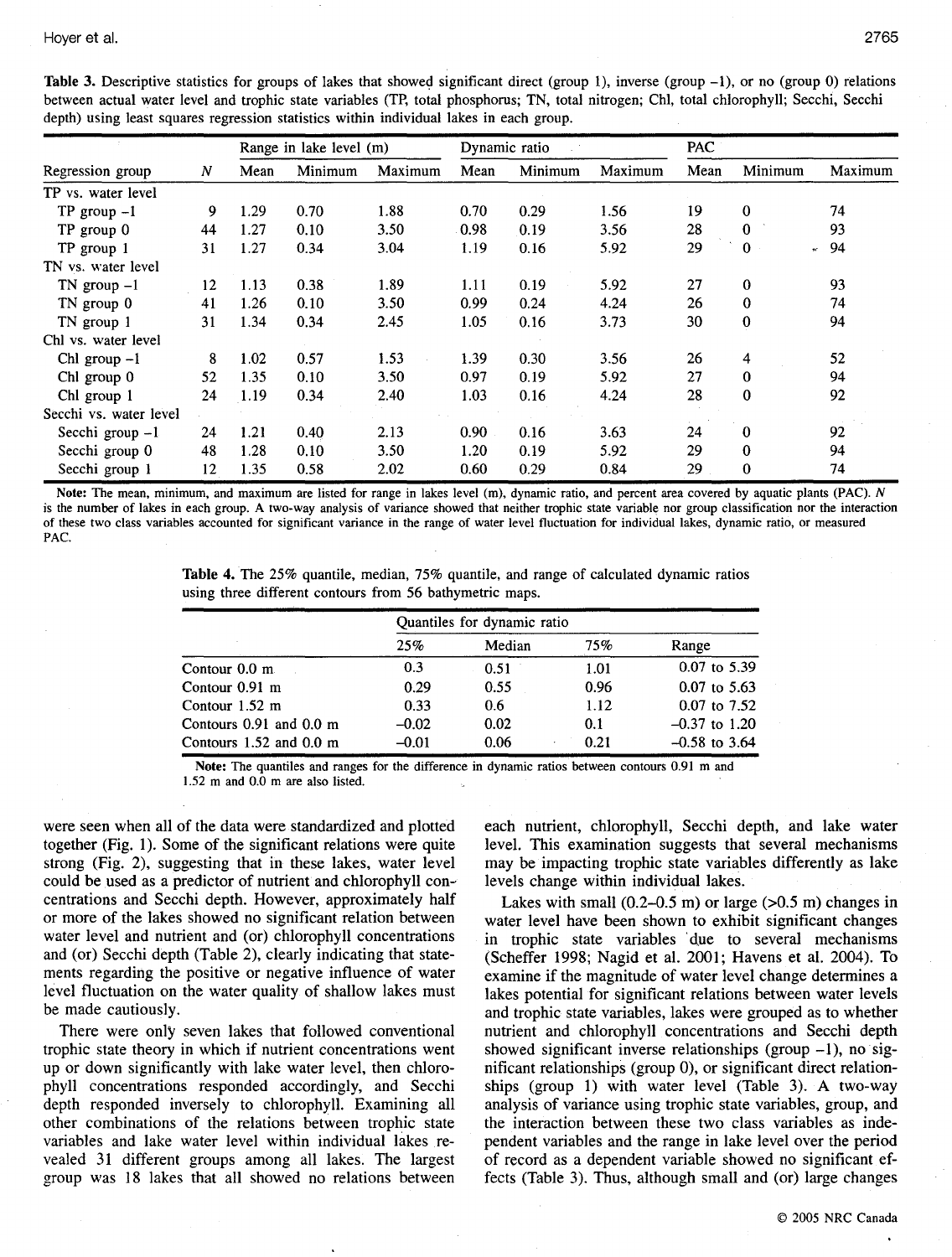| Regression group       |                  |      | Range in lake level (m) |         | Dynamic ratio     |         |         | PAC  |          |                |
|------------------------|------------------|------|-------------------------|---------|-------------------|---------|---------|------|----------|----------------|
|                        | $\boldsymbol{N}$ | Mean | Minimum                 | Maximum | Mean              | Minimum | Maximum | Mean | Minimum  | <b>Maximum</b> |
| TP vs. water level     |                  |      |                         |         |                   |         |         |      |          |                |
| $TP$ group $-1$        | 9                | 1.29 | 0.70                    | 1.88    | 0.70              | 0.29    | 1.56    | 19   | 0        | 74             |
| TP group 0             | 44               | 1.27 | 0.10                    | 3.50    | 0.98              | 0.19    | 3.56    | 28   | 0        | 93             |
| TP group 1             | 31               | 1.27 | 0.34                    | 3.04    | 1.19              | 0.16    | 5.92    | 29   | $\bf{0}$ | 94<br>w.       |
| TN vs. water level     |                  |      |                         |         |                   |         |         |      |          |                |
| TN group $-1$          | 12               | 1.13 | 0.38                    | 1.89    | 1.11              | 0.19    | 5.92    | 27   | 0        | 93             |
| TN group 0             | 41               | 1.26 | 0.10                    | 3.50    | 0.99              | 0.24    | 4.24    | 26   | 0        | 74             |
| TN group 1             | 31               | 1.34 | 0.34                    | 2.45    | 1.05              | 0.16    | 3.73    | 30   | $\bf{0}$ | 94             |
| Chl vs. water level    |                  |      |                         |         |                   |         |         |      |          |                |
| $Chl$ group $-1$       | 8                | 1.02 | 0.57                    | 1.53    | 1.39              | 0.30    | 3.56    | 26   | 4        | 52             |
| Chl group 0            | 52               | 1.35 | 0.10                    | 3.50    | 0.97              | 0.19    | 5.92    | 27   | 0        | 94             |
| Chl group 1            | 24               | 1.19 | 0.34                    | 2.40    | 1.03              | 0.16    | 4.24    | 28   | 0        | 92             |
| Secchi vs. water level |                  |      |                         |         |                   |         |         |      |          |                |
| Secchi group -1        | 24               | 1.21 | 0.40                    | 2.13    | 0.90 <sub>1</sub> | 0.16    | 3.63    | 24   | $\Omega$ | 92             |
| Secchi group 0         | 48               | 1.28 | 0.10                    | 3.50    | 1.20              | 0.19    | 5.92    | 29   | $\Omega$ | 94             |
| Secchi group 1         | 12               | 1.35 | 0.58                    | 2.02    | 0.60              | 0.29    | 0.84    | 29   | $\bf{0}$ | 74             |

Table 3. Descriptive statistics for groups of lakes that showed significant direct (group 1), inverse (group  $-1$ ), or no (group 0) relations between actual water level and trophic state variables (TP, total phosphorus; TN, total nitrogen; Chl, total chlorophyll; Secchi, Secchi, Secchi, Secchi, Secchi, Secchi, Secchi, Secchi, Secchi, Secchi, Secchi, Secchi, Secc depth) using least squares regression statistics within individual lakes in each group.

Note: The mean, minimum, and maximum are listed for range in lakes level (m), dynamic ratio, and percent area covered by aquatic plants (PAC). N is the number of lakes in each group. A two-way analysis of variance showed that neither trophic state variable nor group classification nor the interaction of these two class variables accounted for significant variance in the range of water level fluctuation for individual lakes, dynamic ratio, or measured PAC.

> Table 4. The 25% quantile, median, 75% quantile, and range of calculated dynamic ratios using three different contours from 56 bathymetric maps.

|                             | Quantiles for dynamic ratio |        |      |                  |
|-----------------------------|-----------------------------|--------|------|------------------|
|                             | 25%                         | Median | 75%  | Range            |
| Contour $0.0 \text{ m}$     | 0.3                         | 0.51   | 1.01 | 0.07 to 5.39     |
| Contour 0.91 m              | 0.29                        | 0.55   | 0.96 | $0.07$ to 5.63   |
| Contour 1.52 m              | 0.33                        | 0.6    | 1.12 | $0.07$ to $7.52$ |
| Contours $0.91$ and $0.0$ m | $-0.02$                     | 0.02   | 0.1  | $-0.37$ to 1.20  |
| Contours $1.52$ and $0.0$ m | $-0.01$                     | 0.06   | 0.21 | $-0.58$ to 3.64  |

Note: The quantiles and ranges for the difference in dynamic ratios between contours 0.91 m and 1.52 m and 0.0 m are also listed.

were seen when all of the data were standardized and plotted together (Fig. 1). Some of the significant relations were quite strong (Fig. 2), suggesting that in these lakes, water level could be used as a predictor of nutrient and chlorophyll con-· centrations and Secchi depth. However, approximately half or more of the lakes showed no significant relation between water level and nutrient and (or) chlorophyll concentrations and (or) Secchi depth (Table 2), clearly indicating that statements regarding the positive or negative influence of water level fluctuation on the water quality of shallow lakes must be made cautiously.

There were only seven lakes that followed conventional trophic state theory in which if nutrient concentrations went up or down significantly with lake water level, then chlorophyll concentrations responded accordingly, and Secchi depth responded inversely to chlorophyll. Examining all other combinations of the relations between trophic state variables and lake water level within individual lakes revealed 31 different groups among all lakes. The largest group was 18 lakes that all showed no relations between

each nutrient, chlorophyll, Secchi depth, and lake water level. This examination suggests that several mechanisms may be impacting trophic state variables differently as lake levels change within individual lakes.

Lakes with small  $(0.2-0.5 \text{ m})$  or large  $(>0.5 \text{ m})$  changes in water level have been shown to exhibit significant changes in trophic state variables due to several mechanisms (Scheffer 1998; Nagid et al. 2001; Havens et al. 2004). To examine if the magnitude of water level change determines a lakes potential for significant relations between water levels and trophic state variables, lakes were grouped as to whether nutrient and chlorophyll concentrations and Secchi depth showed significant inverse relationships (group  $-1$ ), no significant relationships (group 0), or significant direct relationships (group 1) with water level (Table 3). A two-way analysis of variance using trophic state variables, group, and the interaction between these two class variables as independent variables and the range in lake level over the period of record as a dependent variable showed no significant effects (Table 3). Thus, although small and (or) large changes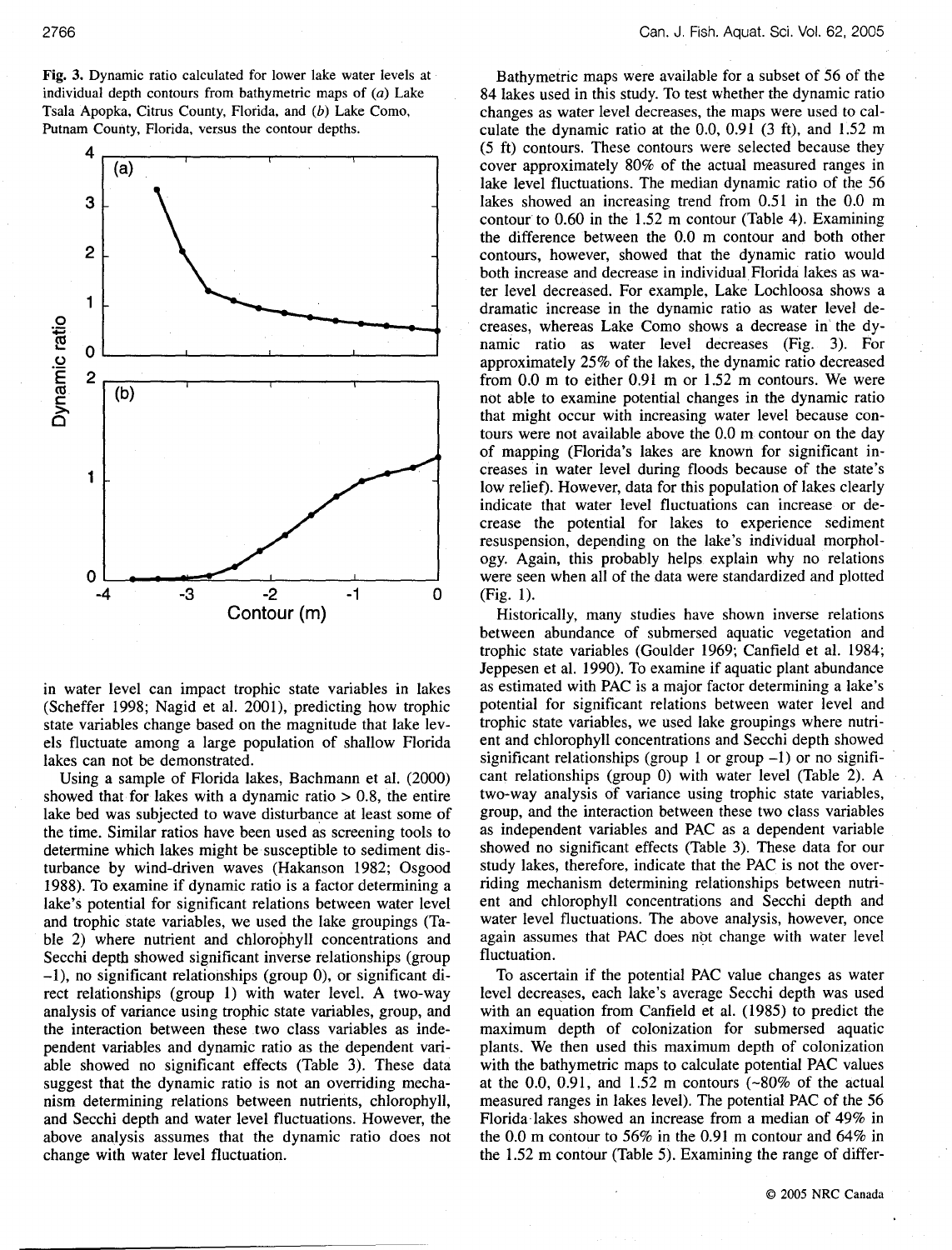Fig. 3. Dynamic ratio calculated for lower lake water levels at individual depth contours from bathymetric maps of (a) Lake Tsala Apopka, Citrus County, Florida, and (b) Lake Como, Putnam County, Florida, versus the contour depths.



in water level can impact trophic state variables in lakes (Scheffer 1998; Nagid et al. 2001), predicting how trophic state variables change based on the magnitude that lake levels fluctuate among a large population of shallow Florida lakes can not be demonstrated.

Using a sample of Florida lakes, Bachmann et al. (2000) showed that for lakes with a dynamic ratio  $> 0.8$ , the entire lake bed was subjected to wave disturbance at least some of the time. Similar ratios have been used as screening tools to determine which lakes might be susceptible to sediment disturbance by wind-driven waves (Hakanson 1982; Osgood 1988). To examine if dynamic ratio is a factor determining a lake's potential for significant relations between water level and trophic state variables, we used the lake groupings (Table 2) where nutrient and chlorophyll concentrations and Secchi depth showed significant inverse relationships (group -1), no significant relationships (group 0), or significant direct relationships (group 1) with water level. A two-way analysis of variance using trophic state variables, group, and the interaction between these two class variables as independent variables and dynamic ratio as the dependent variable showed no significant effects (Table 3). These data suggest that the dynamic ratio is not an overriding mechanism determining relations between nutrients, chlorophyll, and Secchi depth and water level fluctuations. However, the above analysis assumes that the dynamic ratio does not change with water level fluctuation.

Bathymetric maps were available for a subset of 56 of the 84 lakes used in this study. To test whether the dynamic ratio changes as water level decreases, the maps were used to calculate the dynamic ratio at the 0.0, 0.91 (3 ft), and 1.52 m (5 ft) contours. These contours were selected because they cover approximately 80% of the actual measured ranges in lake level fluctuations. The median dynamic ratio of the 56 lakes showed an increasing trend from 0.51 in the 0.0 m contour to 0.60 in the 1.52 m contour (Table 4). Examining the difference between the 0.0 m contour and both other contours, however, showed that the dynamic ratio would both increase and decrease in individual Florida lakes as water level decreased. For example, Lake Lochloosa shows a dramatic increase in the dynamic ratio as water level decreases, whereas Lake Como shows a decrease in' the dynamic ratio as water level decreases (Fig. 3). For approximately 25% of the lakes, the dynamic ratio decreased from 0.0 m to either 0.91 m or 1.52 m contours. We were not able to examine potential changes in the dynamic ratio that might occur with increasing water level because contours were not available above the 0.0 m contour on the day of mapping (Florida's lakes are known for significant increases in water level during floods because of the state's low relief). However, data for this population of lakes clearly indicate that water level fluctuations can increase or decrease the potential for lakes to experience sediment resuspension, depending on the lake's individual morphology. Again, this probably helps explain why no relations were seen when all of the data were standardized and plotted (Fig. 1).

Historically, many studies have shown inverse relations between abundance of submersed aquatic vegetation and trophic state variables (Goulder 1969; Canfield et al. 1984; Jeppesen et al. 1990). To examine if aquatic plant abundance as estimated with PAC is a major factor determining a lake's potential for significant relations between water level and trophic state variables, we used lake groupings where nutrient and chlorophyll concentrations and Secchi depth showed significant relationships (group 1 or group  $-1$ ) or no significant relationships (group 0) with water level (Table 2). A two-way analysis of variance using trophic state variables, group, and the interaction between these two class variables as independent variables and PAC as a dependent variable showed no significant effects (Table 3). These data for our study lakes, therefore, indicate that the PAC is not the overriding mechanism determining relationships between nutrient and chlorophyll concentrations and Secchi depth and water level fluctuations. The above analysis, however, once again assumes that PAC does not change with water level fluctuation.

To ascertain if the potential PAC value changes as water level decreases, each lake's average Secchi depth was used with an equation from Canfield et al. ( 1985) to predict the maximum depth of colonization for submersed aquatic plants. We then used this maximum depth of colonization with the bathymetric maps to calculate potential PAC values at the 0.0, 0.91, and 1.52 m contours  $(-80\% \text{ of the actual})$ measured ranges in lakes level). The potential PAC of the 56 Florida -lakes showed an increase from a median of 49% in the 0.0 m contour to 56% in the 0.91 m contour and 64% in the 1.52 m contour (Table 5). Examining the range of differ-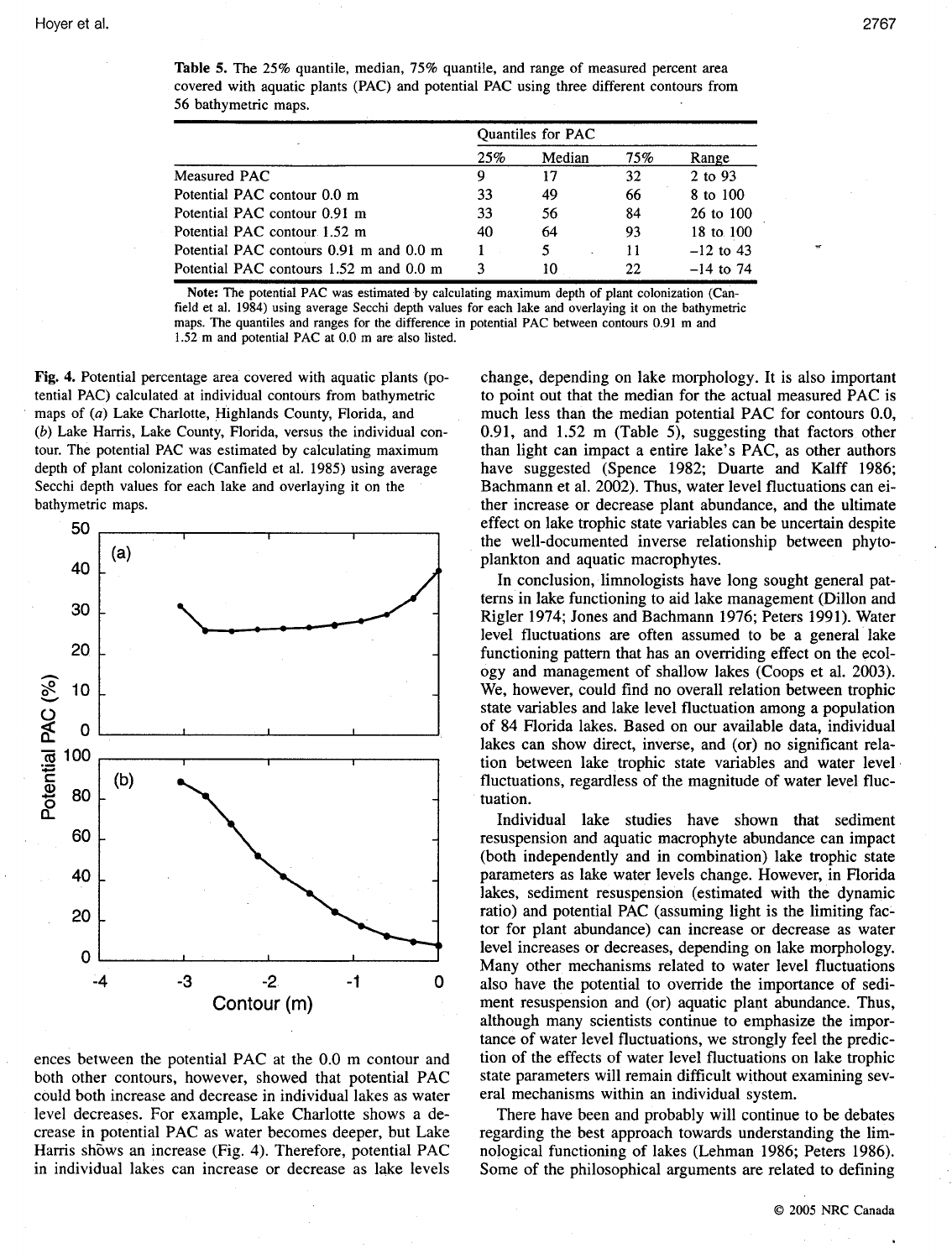|                                         | <b>Ouantiles for PAC</b> |        |     |             |  |
|-----------------------------------------|--------------------------|--------|-----|-------------|--|
|                                         | 25%                      | Median | 75% | Range       |  |
| Measured PAC                            | 9                        | 17     | 32  | 2 to 93     |  |
| Potential PAC contour 0.0 m             | 33.                      | 49     | 66  | 8 to 100    |  |
| Potential PAC contour 0.91 m            | 33                       | 56     | 84  | 26 to 100   |  |
| Potential PAC contour 1.52 m            | 40                       | 64     | 93  | 18 to 100   |  |
| Potential PAC contours 0.91 m and 0.0 m |                          |        | 11  | $-12$ to 43 |  |
| Potential PAC contours 1.52 m and 0.0 m |                          | 10     | 22  | $-14$ to 74 |  |

Table 5. The 25% quantile, median, 75% quantile, and range of measured percent area covered with aquatic plants (PAC) and potential PAC using three different contours from 56 bathymetric maps.

Note: The potential PAC was estimated by calculating maximum depth of plant colonization (Canfield et al. 1984) using average Secchi depth values for each lake and overlaying it on the bathymetric maps. The quantiles and ranges for the difference in potential PAC between contours 0.91 m and 1.52 m and potential PAC at 0.0 m are also listed.

Fig. 4. Potential percentage area covered with aquatic plants (potential PAC) calculated at individual contours from bathymetric maps of (a) Lake Charlotte, Highlands County, Florida, and (b) Lake Harris, Lake County, Florida, versus the individual contour. The potential PAC was estimated by calculating maximum depth of plant colonization (Canfield et al. 1985) using average Secchi depth values for each lake and overlaying it on the bathymetric maps.



ences between the potential PAC at the 0.0 m contour and both other contours, however, showed that potential PAC could both increase and decrease in individual lakes as water level decreases. For example, Lake Charlotte shows a decrease in potential PAC as water becomes deeper, but Lake Harris shows an increase (Fig. 4). Therefore, potential PAC in individual lakes can increase or decrease as lake levels

change, depending on lake morphology. It is also important to point out that the median for the actual measured PAC is much less than the median potential PAC for contours 0.0, 0.91, and 1.52 m (Table 5), suggesting that factors other than light can impact a entire lake's PAC, as other authors have suggested (Spence 1982; Duarte and Kalff 1986; Bachmann et al. 2002). Thus, water level fluctuations can either increase or decrease plant abundance, and the ultimate effect on lake trophic state variables can be uncertain despite the well-documented inverse relationship between phytoplankton and aquatic macrophytes.

In conclusion, limnologists have long sought general patterns in lake functioning to aid lake management (Dillon and Rigler 1974; Jones and Bachmann 1976; Peters 1991). Water level fluctuations are often assumed to be a general lake functioning pattern that has an overriding effect on the ecology and management of shallow lakes (Coops et al. 2003). We, however, could find no overall relation between trophic state variables and lake level fluctuation among a population of 84 Florida lakes. Based on our available data, individual lakes can show direct, inverse, and (or) no significant relation between lake trophic state variables and water level · fluctuations, regardless of the magnitude of water level fluctuation.

Individual lake studies have shown that sediment resuspension and aquatic macrophyte abundance can impact (both independently and in combination) lake trophic state parameters as lake water levels change. However, in Florida lakes, sediment resuspension (estimated with the dynamic ratio) and potential PAC (assuming light is the limiting factor for plant abundance) can increase or decrease as water level increases or decreases, depending on lake morphology. Many other mechanisms related to water level fluctuations also have the potential to override the importance of sediment resuspension and (or) aquatic plant abundance. Thus, although many scientists continue to emphasize the importance of water level fluctuations, we strongly feel the prediction of the effects of water level fluctuations on lake trophic state parameters will remain difficult without examining several mechanisms within an individual system.

There have been and probably will continue to be debates regarding the best approach towards understanding the limnological functioning of lakes (Lehman 1986; Peters 1986). Some of the philosophical arguments are related to defining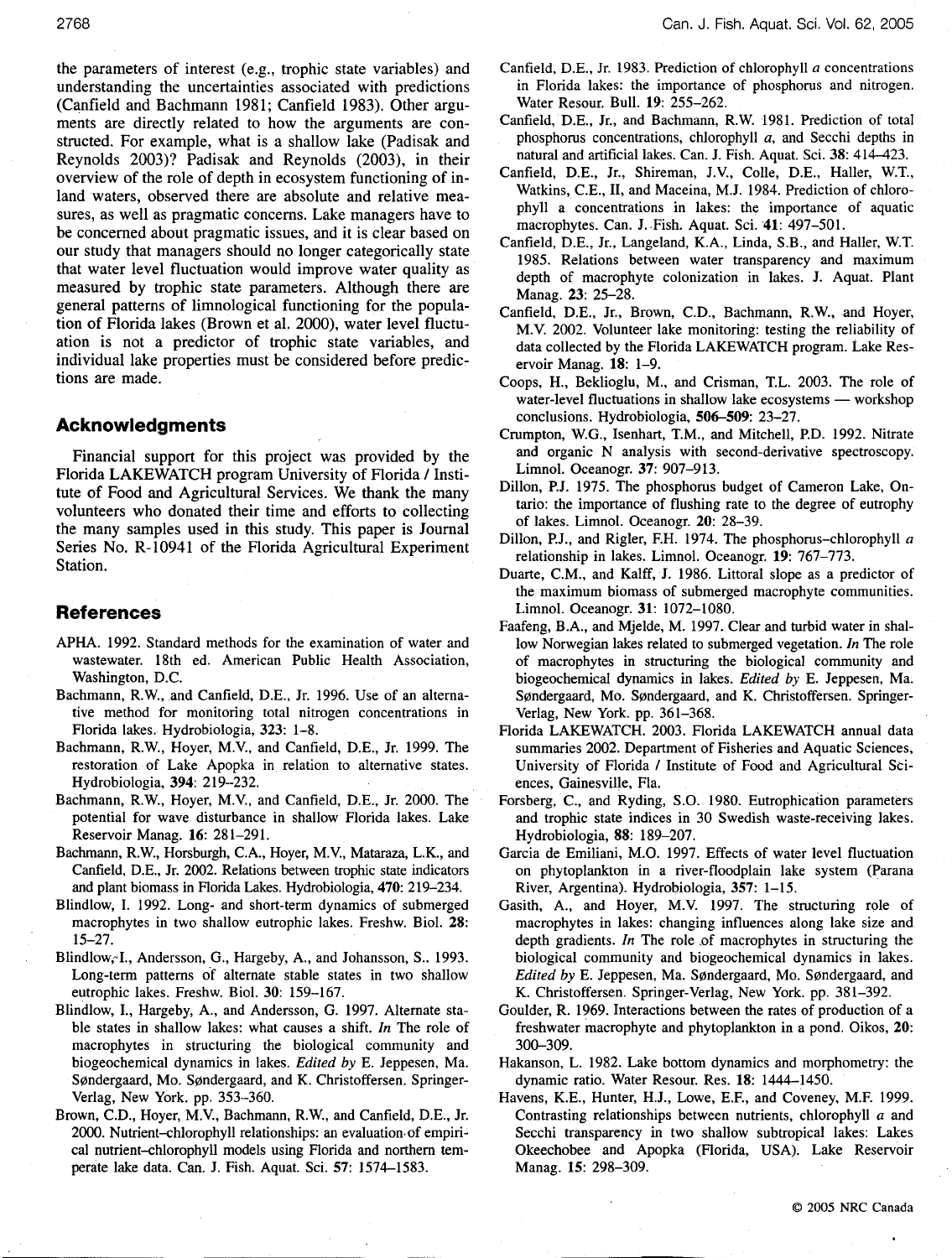the parameters of interest (e.g., trophic state variables) and understanding the uncertainties associated with predictions (Canfield and Bachmann 1981; Canfield 1983). Other arguments are directly related to how the arguments are constructed. For example, what is a shallow lake (Padisak and Reynolds 2003)? Padisak and Reynolds (2003), in their overview of the role of depth in ecosystem functioning of inland waters, observed there are absolute and relative measures, as well as pragmatic concerns. Lake managers have to be concerned about pragmatic issues, and it is clear based on our study that managers should no longer categorically state that water level fluctuation would improve water quality as measured by trophic state parameters. Although there are general patterns of limnological functioning for the population of Florida lakes (Brown et al. 2000), water level fluctuation is not a predictor of trophic state variables, and individual lake properties must be considered before predictions are made.

### **Acknowledgments**

Financial support for this project was provided by the Florida LAKEWATCH program University of Florida / Institute of Food and Agricultural Services. We thank the many volunteers who donated their time and efforts to collecting the many samples used in this study. This paper is Journal Series No. R-10941 of the Florida Agricultural Experiment Station.

# **References**

- APHA. 1992. Standard methods for the examination of water and wastewater. 18th ed. American Public Health Association, Washington, D.C.
- Bachmann, R.W., and Canfield, D.E., Jr. 1996. Use of an alternative method for monitoring total nitrogen concentrations in Florida lakes. Hydrobiologia, 323: 1-8.
- Bachmann, R.W., Hoyer, M.V., and Canfield, D.E., Jr. 1999. The restoration of Lake Apopka in relation to alternative states. Hydrobiologia, 394: 219-232.
- Bachmann, R.W., Hoyer, M.V., and Canfield, D.E., Jr. 2000. The potential for wave disturbance in shallow Florida lakes. Lake Reservoir Manag. 16: 281-291.
- Bachmann, R.W., Horsburgh, C.A., Hoyer, M.V., Mataraza, L.K., and Canfield, D.E., Jr. 2002. Relations between trophic state indicators and plant biomass in Florida Lakes. Hydrobiologia, 470: 219-234.
- Blindlow, I. 1992. Long- and short-term dynamics of submerged macrophytes in two shallow eutrophic lakes. Freshw. Biol. 28: 15-27.
- Blindlow; I., Andersson, G., Hargeby, A., and Johansson, S.. 1993. Long-term patterns of alternate stable states in two shallow eutrophic lakes. Freshw. Biol. 30: 159-167.
- Blindlow, 1., Hargeby, A., and Andersson, G. 1997. Alternate stable states in shallow lakes: what causes a shift. *In* The role of macrophytes in structuring the biological community and biogeochemical dynamics in lakes. *Edited by* E. Jeppesen, Ma. Søndergaard, Mo. Søndergaard, and K. Christoffersen. Springer-Verlag, New York. pp. 353-360.
- Brown, C.D., Hoyer, M.V., Bachmann, R.W., and Canfield, D.E., Jr. 2000. Nutrient--chlorophyll relationships: an evaluation. of empirical nutrient--chlorophyll models using Florida and northern temperate lake data. Can. J. Fish. Aquat. Sci. 57: 1574-1583.
- Canfield, D.E., Jr. 1983. Prediction of chlorophyll *a* concentrations in Florida lakes: the importance of phosphorus and nitrogen. Water Resour. Bull. 19: 255-262.
- Canfield, D.E., Jr., and Bachmann, R.W. 1981. Prediction of total phosphorus concentrations, chlorophyll *a,* and Secchi depths in natural and artificial lakes. Can. J. Fish. Aquat. Sci. 38: 414-423.
- Canfield, D.E., Jr., Shireman, J.V., Colle, D.E., Haller, W.T., Watkins, C.E., II, and Maceina, M.J. 1984. Prediction of chlorophyll a concentrations in lakes: the importance of aquatic macrophytes. Can. J. Fish. Aquat. Sci. 41: 497-501.
- Canfield, D.E., Jr., Langeland, K.A., Linda, S.B., and Haller, W.T. 1985. Relations between water transparency and maximum depth of macrophyte colonization in lakes. J. Aquat. Plant Manag. 23: 25-28.
- Canfield, D.E., Jr., Brown, C.D., Bachmann, R.W., and Hoyer, M.V. 2002. Volunteer lake monitoring: testing the reliability of data collected by the Florida LAKEWATCH program. Lake Reservoir Manag. 18: 1-9.
- Coops, H., Beklioglu, M., and Crisman, T.L. 2003. The role of water-level fluctuations in shallow lake ecosystems - workshop conclusions. Hydrobiologia, 506-509: 23-27.
- Crumpton, W.G., Isenhart, T.M., and Mitchell, P.D. 1992. Nitrate and organic N analysis with second-derivative spectroscopy. Limnol. Oceanogr. 37: 907-913.
- Dillon, P.J. 1975. The phosphorus budget of Cameron Lake, Ontario: the importance of flushing rate to the degree of eutrophy of lakes. Limnol. Oceanogr. 20: 28-39.
- Dillon, P.J., and Rigler, F.H. 1974. The phosphorus--chlorophyll *a*  relationship in lakes. Limnol. Oceanogr. 19: 767-773.
- Duarte, C.M., and Kalff, J. 1986. Littoral slope as a predictor of the maximum biomass of submerged macrophyte communities. Limnol. Oceanogr. 31: 1072-1080.
- Faafeng, B.A., and Mjelde, M. 1997. Clear and turbid water in shallow Norwegian lakes related to submerged vegetation. *In* The role of macrophytes in structuring the biological community and biogeochemical dynamics in lakes. *Edited by* E. Jeppesen, Ma. Søndergaard, Mo. Søndergaard, and K. Christoffersen. Springer-Verlag, New York. pp. 361-368.
- Florida LAKEWATCH. 2003. Florida LAKEWATCH annual data summaries 2002. Department of Fisheries and Aquatic Sciences, University of Florida / Institute of Food and Agricultural Sciences, Gainesville, Fla.
- Forsberg, C., and Ryding, S.O. 1980. Eutrophication parameters and trophic state indices in 30 Swedish waste-receiving lakes. Hydrobiologia, 88: 189-207.
- Garcia de Emiliani, M.O. 1997. Effects of water level fluctuation on phytoplankton in a river-floodplain lake system (Parana River, Argentina). Hydrobiologia, 357: 1-15.
- Gasith, A., and Hoyer, M.V. 1997. The structuring role of macrophytes in lakes: changing influences along lake size and depth gradients. *In* The role of macrophytes in structuring the biological community and biogeochemical dynamics in lakes. *Edited by E. Jeppesen, Ma. Søndergaard, Mo. Søndergaard, and* K. Christoffersen. Springer-Verlag, New York. pp. 381-392.
- Goulder, R. 1969. Interactions between the rates of production of a freshwater macrophyte and phytoplankton in a pond. Oikos, 20: 300-309.
- Hakanson, L. 1982. Lake bottom dynamics and morphometry: the dynamic ratio. Water Resour. Res. 18: 1444-1450.
- Havens, K.E., Hunter, H.J., Lowe, E.F., and Coveney, M.F. 1999. Contrasting relationships between nutrients, chlorophyll *a* and Secchi transparency in two shallow subtropical lakes: Lakes Okeechobee and Apopka (Florida, USA). Lake Reservoir Manag. 15: 298-309.